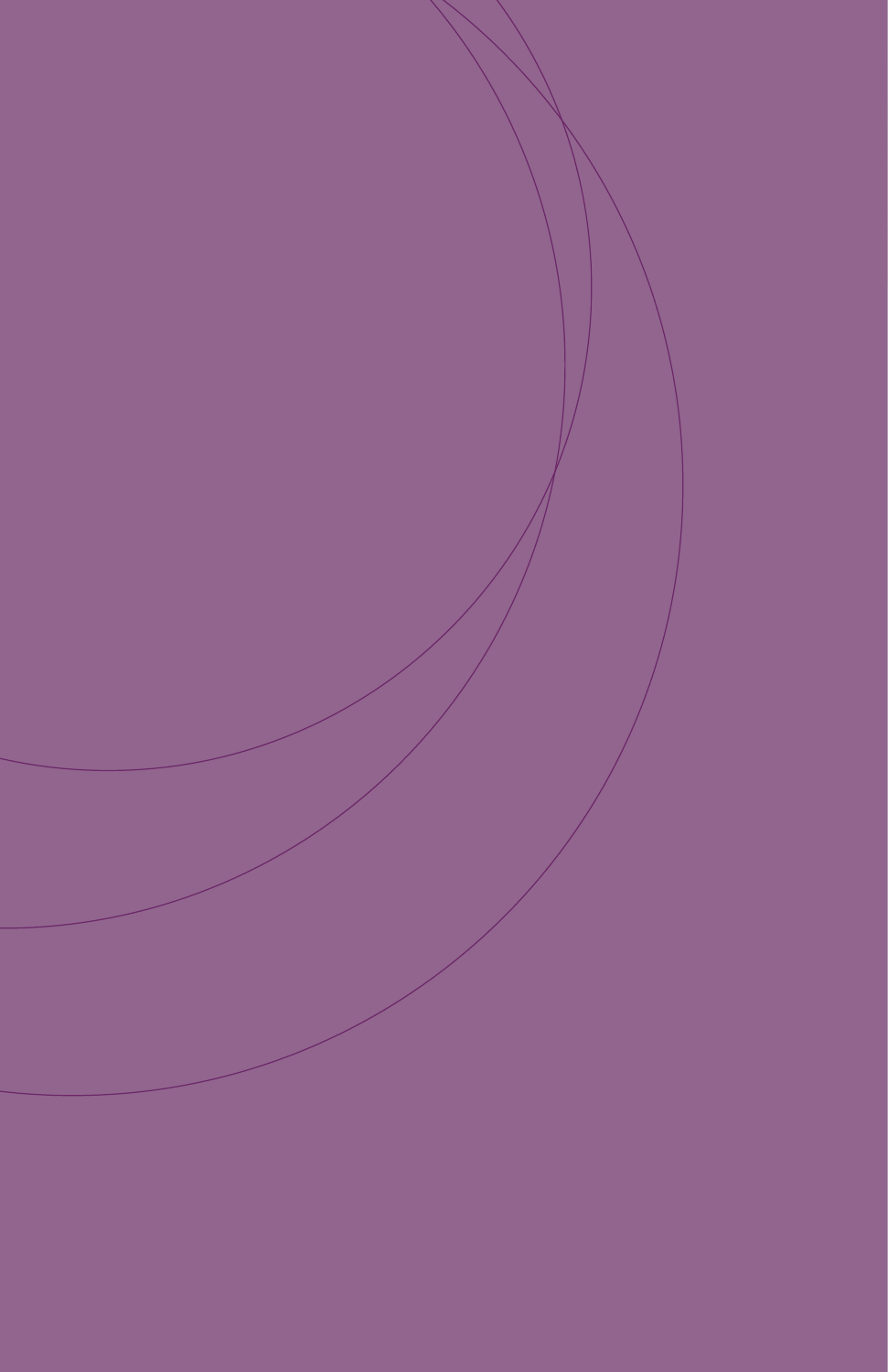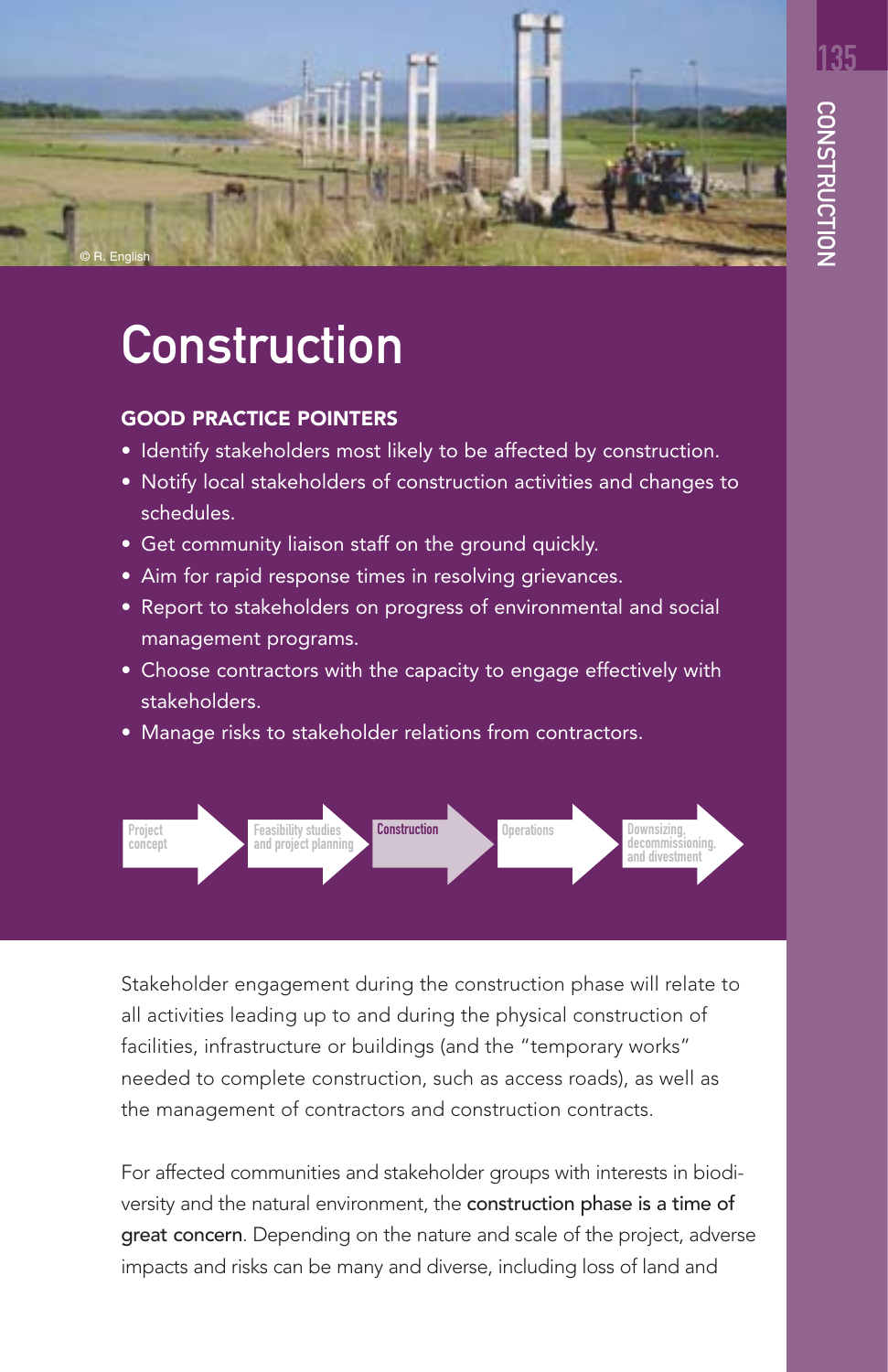135



# **Construction**

## GOOD PRACTICE POINTERS

- Identify stakeholders most likely to be affected by construction.
- Notify local stakeholders of construction activities and changes to schedules.
- Get community liaison staff on the ground quickly.
- Aim for rapid response times in resolving grievances.
- Report to stakeholders on progress of environmental and social management programs.
- Choose contractors with the capacity to engage effectively with stakeholders.
- Manage risks to stakeholder relations from contractors.



Stakeholder engagement during the construction phase will relate to all activities leading up to and during the physical construction of facilities, infrastructure or buildings (and the "temporary works" needed to complete construction, such as access roads), as well as the management of contractors and construction contracts.

For affected communities and stakeholder groups with interests in biodiversity and the natural environment, the construction phase is a time of great concern. Depending on the nature and scale of the project, adverse impacts and risks can be many and diverse, including loss of land and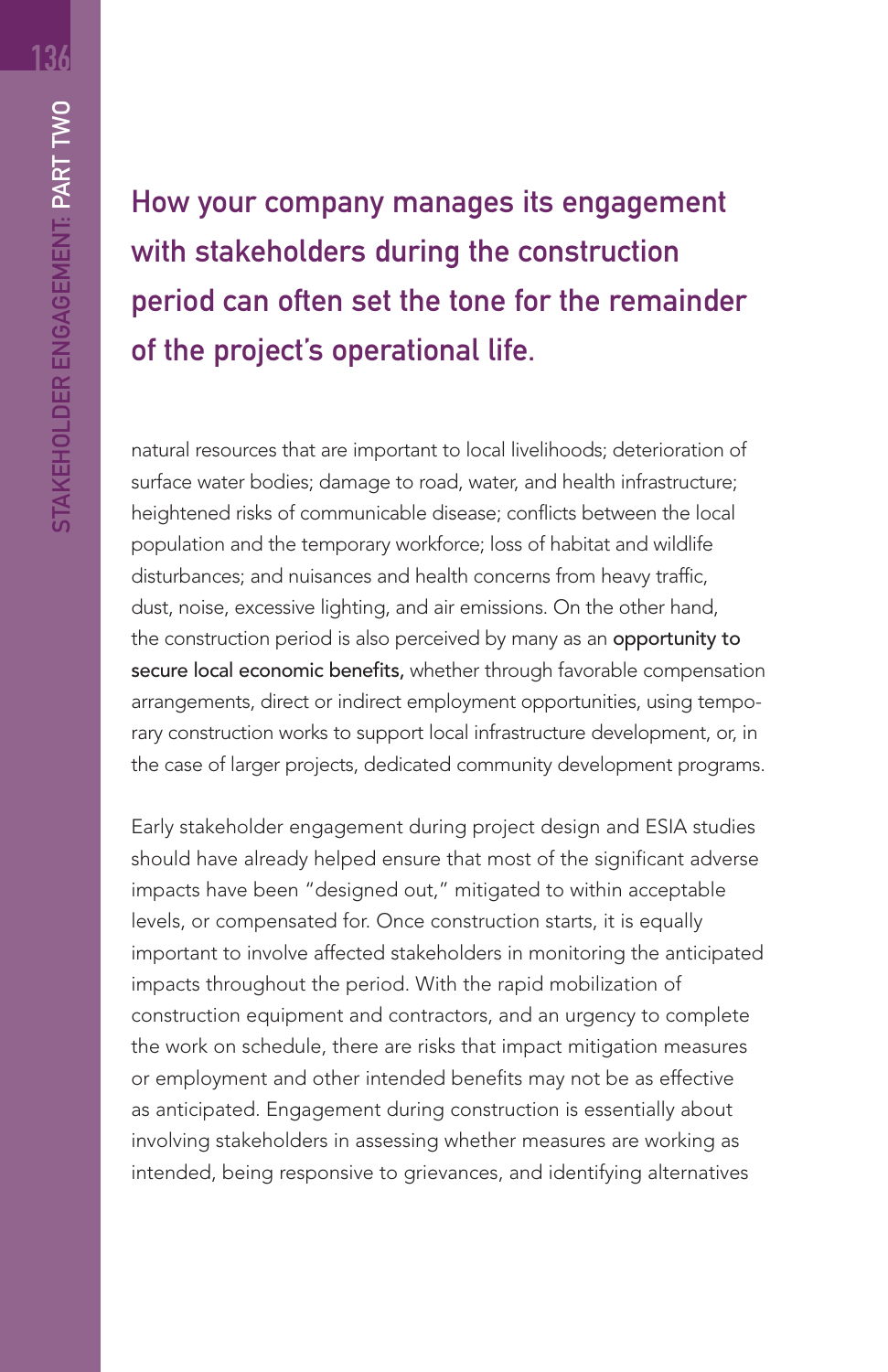How your company manages its engagement with stakeholders during the construction period can often set the tone for the remainder of the project's operational life.

natural resources that are important to local livelihoods; deterioration of surface water bodies; damage to road, water, and health infrastructure; heightened risks of communicable disease; conflicts between the local population and the temporary workforce; loss of habitat and wildlife disturbances; and nuisances and health concerns from heavy traffic, dust, noise, excessive lighting, and air emissions. On the other hand, the construction period is also perceived by many as an opportunity to secure local economic benefits, whether through favorable compensation arrangements, direct or indirect employment opportunities, using temporary construction works to support local infrastructure development, or, in the case of larger projects, dedicated community development programs.

Early stakeholder engagement during project design and ESIA studies should have already helped ensure that most of the significant adverse impacts have been "designed out," mitigated to within acceptable levels, or compensated for. Once construction starts, it is equally important to involve affected stakeholders in monitoring the anticipated impacts throughout the period. With the rapid mobilization of construction equipment and contractors, and an urgency to complete the work on schedule, there are risks that impact mitigation measures or employment and other intended benefits may not be as effective as anticipated. Engagement during construction is essentially about involving stakeholders in assessing whether measures are working as intended, being responsive to grievances, and identifying alternatives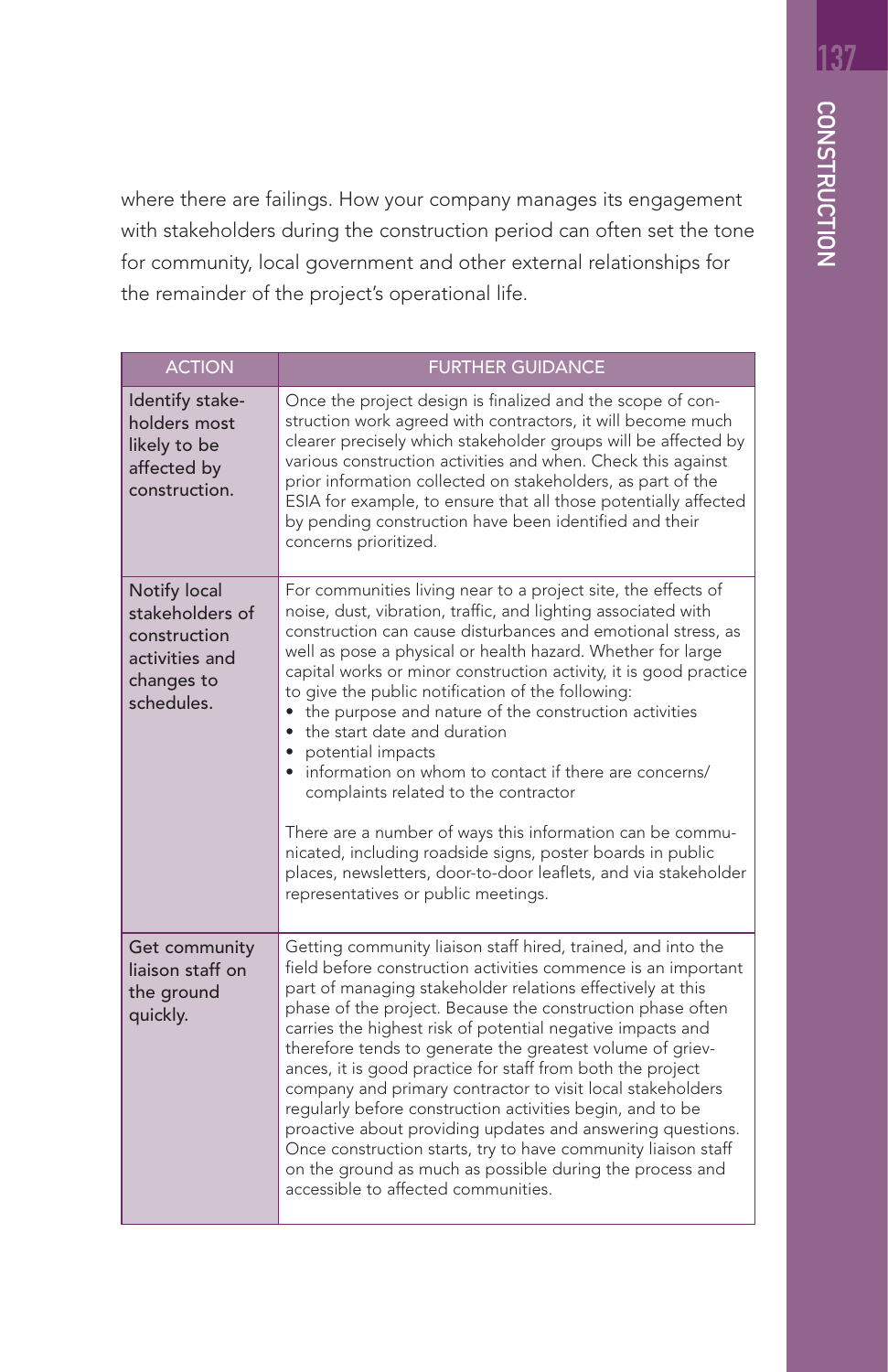where there are failings. How your company manages its engagement with stakeholders during the construction period can often set the tone for community, local government and other external relationships for the remainder of the project's operational life.

| <b>ACTION</b>                                                                                 | <b>FURTHER GUIDANCE</b>                                                                                                                                                                                                                                                                                                                                                                                                                                                                                                                                                                                                                                                                                                                                                                                                                            |
|-----------------------------------------------------------------------------------------------|----------------------------------------------------------------------------------------------------------------------------------------------------------------------------------------------------------------------------------------------------------------------------------------------------------------------------------------------------------------------------------------------------------------------------------------------------------------------------------------------------------------------------------------------------------------------------------------------------------------------------------------------------------------------------------------------------------------------------------------------------------------------------------------------------------------------------------------------------|
| Identify stake-<br>holders most<br>likely to be<br>affected by<br>construction.               | Once the project design is finalized and the scope of con-<br>struction work agreed with contractors, it will become much<br>clearer precisely which stakeholder groups will be affected by<br>various construction activities and when. Check this against<br>prior information collected on stakeholders, as part of the<br>ESIA for example, to ensure that all those potentially affected<br>by pending construction have been identified and their<br>concerns prioritized.                                                                                                                                                                                                                                                                                                                                                                   |
| Notify local<br>stakeholders of<br>construction<br>activities and<br>changes to<br>schedules. | For communities living near to a project site, the effects of<br>noise, dust, vibration, traffic, and lighting associated with<br>construction can cause disturbances and emotional stress, as<br>well as pose a physical or health hazard. Whether for large<br>capital works or minor construction activity, it is good practice<br>to give the public notification of the following:<br>• the purpose and nature of the construction activities<br>• the start date and duration<br>• potential impacts<br>• information on whom to contact if there are concerns/<br>complaints related to the contractor<br>There are a number of ways this information can be commu-<br>nicated, including roadside signs, poster boards in public<br>places, newsletters, door-to-door leaflets, and via stakeholder<br>representatives or public meetings. |
| Get community<br>liaison staff on<br>the ground<br>quickly.                                   | Getting community liaison staff hired, trained, and into the<br>field before construction activities commence is an important<br>part of managing stakeholder relations effectively at this<br>phase of the project. Because the construction phase often<br>carries the highest risk of potential negative impacts and<br>therefore tends to generate the greatest volume of griev-<br>ances, it is good practice for staff from both the project<br>company and primary contractor to visit local stakeholders<br>regularly before construction activities begin, and to be<br>proactive about providing updates and answering questions.<br>Once construction starts, try to have community liaison staff<br>on the ground as much as possible during the process and<br>accessible to affected communities.                                    |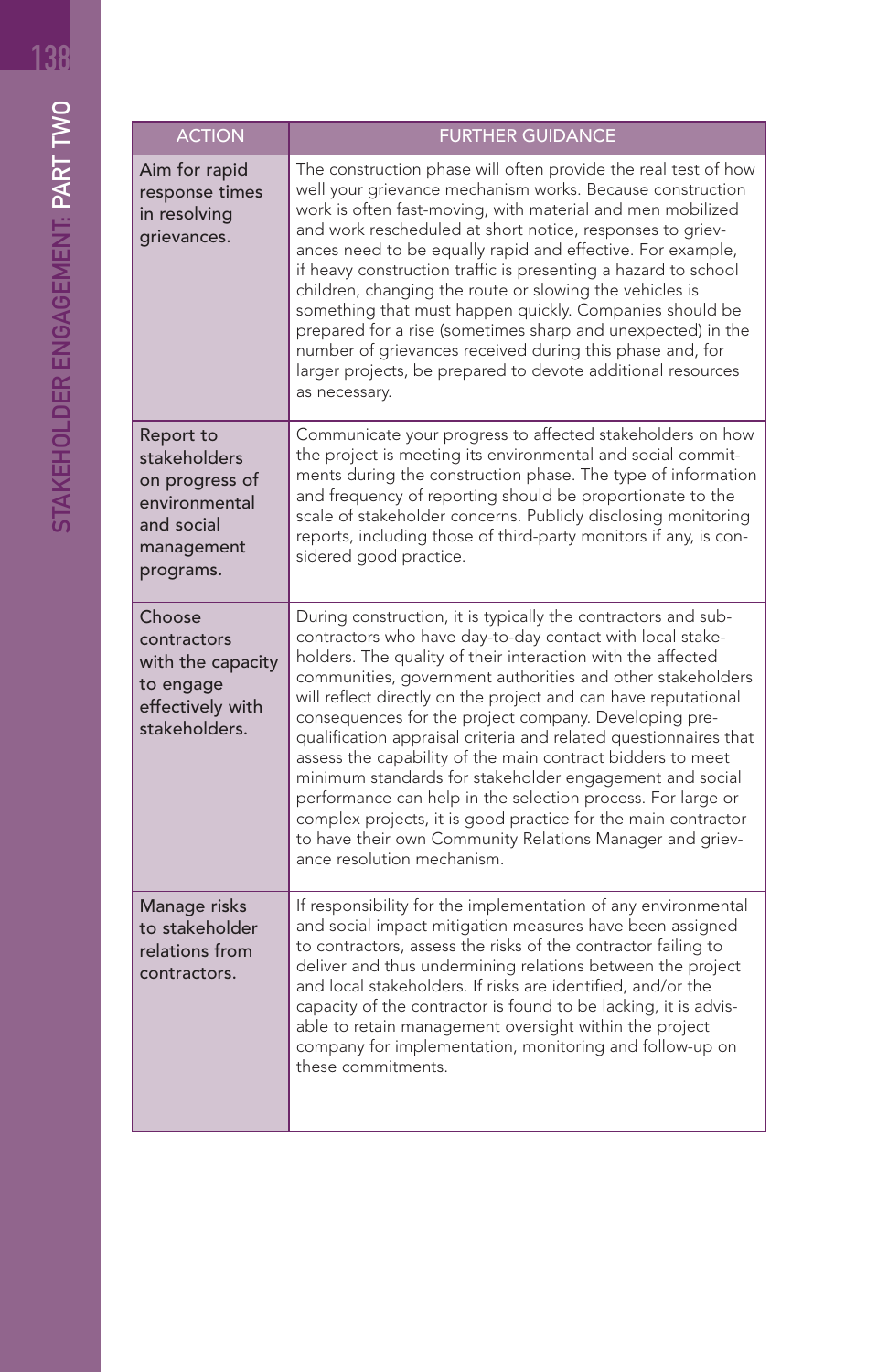| <b>ACTION</b>                                                                                         | <b>FURTHER GUIDANCE</b>                                                                                                                                                                                                                                                                                                                                                                                                                                                                                                                                                                                                                                                                                                                                                                                   |
|-------------------------------------------------------------------------------------------------------|-----------------------------------------------------------------------------------------------------------------------------------------------------------------------------------------------------------------------------------------------------------------------------------------------------------------------------------------------------------------------------------------------------------------------------------------------------------------------------------------------------------------------------------------------------------------------------------------------------------------------------------------------------------------------------------------------------------------------------------------------------------------------------------------------------------|
| Aim for rapid<br>response times<br>in resolving<br>grievances.                                        | The construction phase will often provide the real test of how<br>well your grievance mechanism works. Because construction<br>work is often fast-moving, with material and men mobilized<br>and work rescheduled at short notice, responses to griev-<br>ances need to be equally rapid and effective. For example,<br>if heavy construction traffic is presenting a hazard to school<br>children, changing the route or slowing the vehicles is<br>something that must happen quickly. Companies should be<br>prepared for a rise (sometimes sharp and unexpected) in the<br>number of grievances received during this phase and, for<br>larger projects, be prepared to devote additional resources<br>as necessary.                                                                                   |
| Report to<br>stakeholders<br>on progress of<br>environmental<br>and social<br>management<br>programs. | Communicate your progress to affected stakeholders on how<br>the project is meeting its environmental and social commit-<br>ments during the construction phase. The type of information<br>and frequency of reporting should be proportionate to the<br>scale of stakeholder concerns. Publicly disclosing monitoring<br>reports, including those of third-party monitors if any, is con-<br>sidered good practice.                                                                                                                                                                                                                                                                                                                                                                                      |
| Choose<br>contractors<br>with the capacity<br>to engage<br>effectively with<br>stakeholders.          | During construction, it is typically the contractors and sub-<br>contractors who have day-to-day contact with local stake-<br>holders. The quality of their interaction with the affected<br>communities, government authorities and other stakeholders<br>will reflect directly on the project and can have reputational<br>consequences for the project company. Developing pre-<br>qualification appraisal criteria and related questionnaires that<br>assess the capability of the main contract bidders to meet<br>minimum standards for stakeholder engagement and social<br>performance can help in the selection process. For large or<br>complex projects, it is good practice for the main contractor<br>to have their own Community Relations Manager and griev-<br>ance resolution mechanism. |
| Manage risks<br>to stakeholder<br>relations from<br>contractors.                                      | If responsibility for the implementation of any environmental<br>and social impact mitigation measures have been assigned<br>to contractors, assess the risks of the contractor failing to<br>deliver and thus undermining relations between the project<br>and local stakeholders. If risks are identified, and/or the<br>capacity of the contractor is found to be lacking, it is advis-<br>able to retain management oversight within the project<br>company for implementation, monitoring and follow-up on<br>these commitments.                                                                                                                                                                                                                                                                     |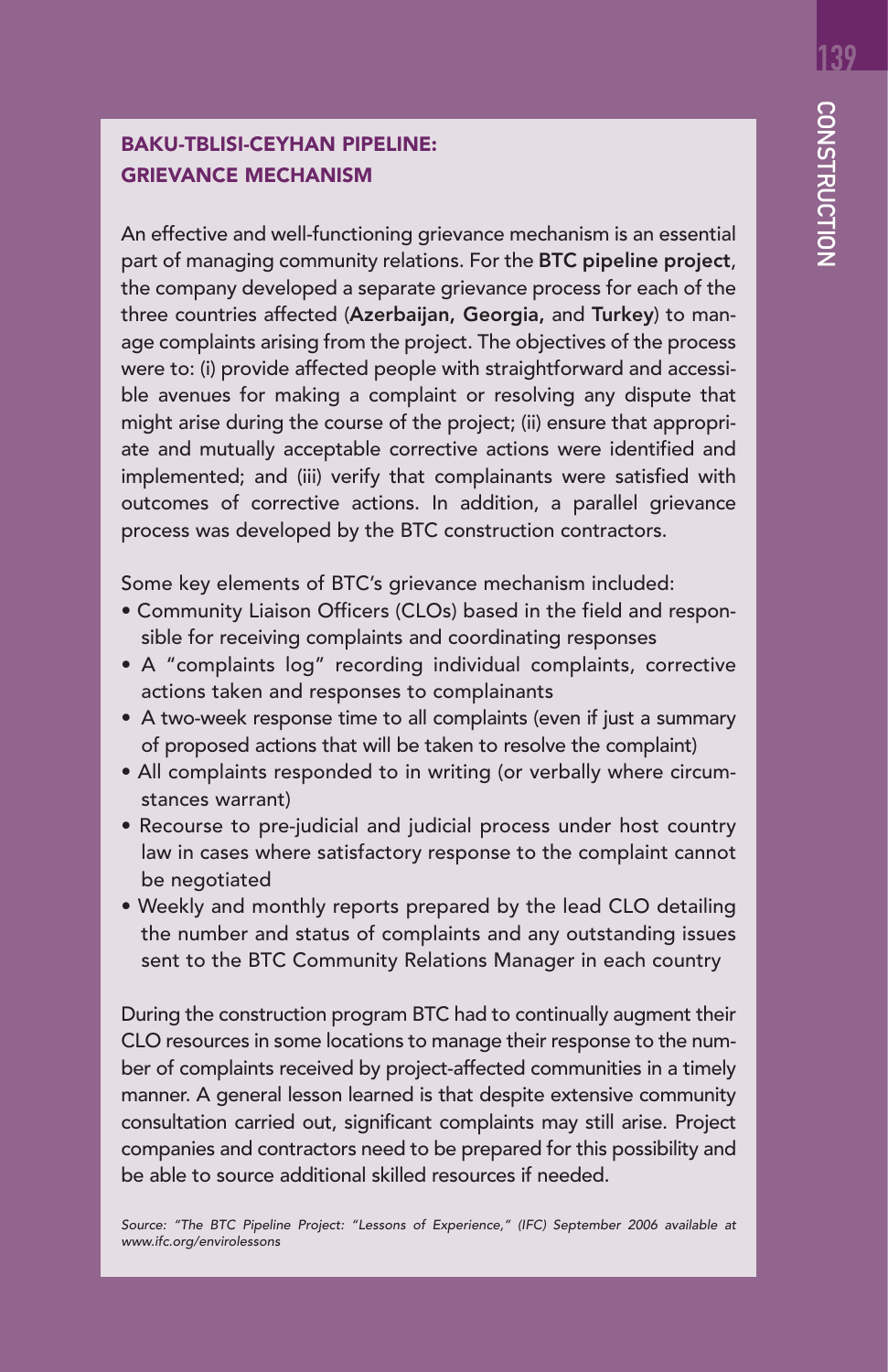139

## BAKU-TBLISI-CEYHAN PIPELINE: GRIEVANCE MECHANISM

An effective and well-functioning grievance mechanism is an essential part of managing community relations. For the BTC pipeline project, the company developed a separate grievance process for each of the three countries affected (Azerbaijan, Georgia, and Turkey) to manage complaints arising from the project. The objectives of the process were to: (i) provide affected people with straightforward and accessible avenues for making a complaint or resolving any dispute that might arise during the course of the project; (ii) ensure that appropriate and mutually acceptable corrective actions were identified and implemented; and (iii) verify that complainants were satisfied with outcomes of corrective actions. In addition, a parallel grievance process was developed by the BTC construction contractors.

Some key elements of BTC's grievance mechanism included:

- Community Liaison Officers (CLOs) based in the field and responsible for receiving complaints and coordinating responses
- A "complaints log" recording individual complaints, corrective actions taken and responses to complainants
- A two-week response time to all complaints (even if just a summary of proposed actions that will be taken to resolve the complaint)
- All complaints responded to in writing (or verbally where circumstances warrant)
- Recourse to pre-judicial and judicial process under host country law in cases where satisfactory response to the complaint cannot be negotiated
- Weekly and monthly reports prepared by the lead CLO detailing the number and status of complaints and any outstanding issues sent to the BTC Community Relations Manager in each country

During the construction program BTC had to continually augment their CLO resources in some locations to manage their response to the number of complaints received by project-affected communities in a timely manner. A general lesson learned is that despite extensive community consultation carried out, significant complaints may still arise. Project companies and contractors need to be prepared for this possibility and be able to source additional skilled resources if needed.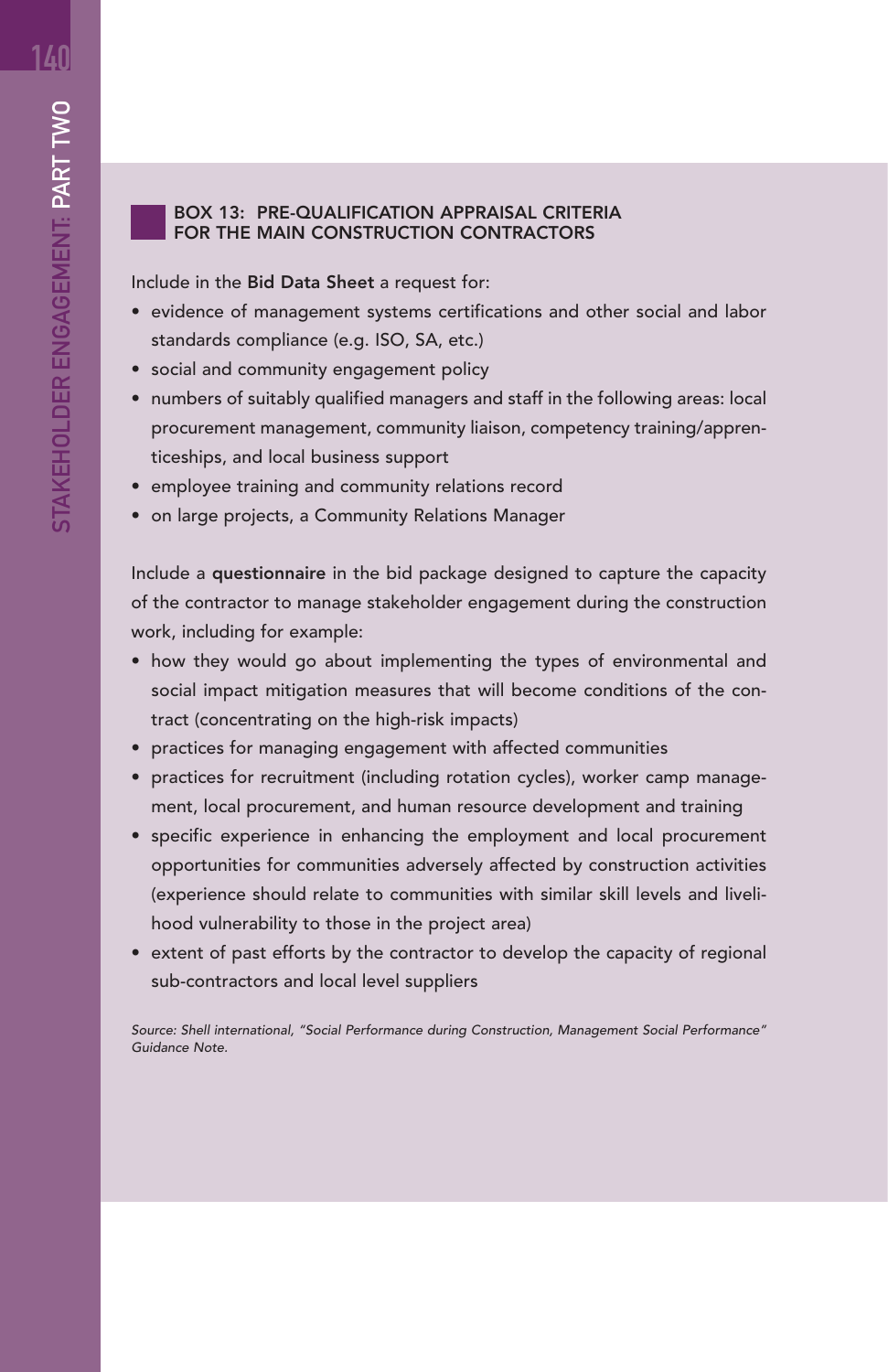#### BOX 13: PRE-QUALIFICATION APPRAISAL CRITERIA FOR THE MAIN CONSTRUCTION CONTRACTORS

Include in the Bid Data Sheet a request for:

- evidence of management systems certifications and other social and labor standards compliance (e.g. ISO, SA, etc.)
- social and community engagement policy
- numbers of suitably qualified managers and staff in the following areas: local procurement management, community liaison, competency training/apprenticeships, and local business support
- employee training and community relations record
- on large projects, a Community Relations Manager

Include a questionnaire in the bid package designed to capture the capacity of the contractor to manage stakeholder engagement during the construction work, including for example:

- how they would go about implementing the types of environmental and social impact mitigation measures that will become conditions of the contract (concentrating on the high-risk impacts)
- practices for managing engagement with affected communities
- practices for recruitment (including rotation cycles), worker camp management, local procurement, and human resource development and training
- specific experience in enhancing the employment and local procurement opportunities for communities adversely affected by construction activities (experience should relate to communities with similar skill levels and livelihood vulnerability to those in the project area)
- extent of past efforts by the contractor to develop the capacity of regional sub-contractors and local level suppliers

Source: Shell international, "Social Performance during Construction, Management Social Performance" Guidance Note.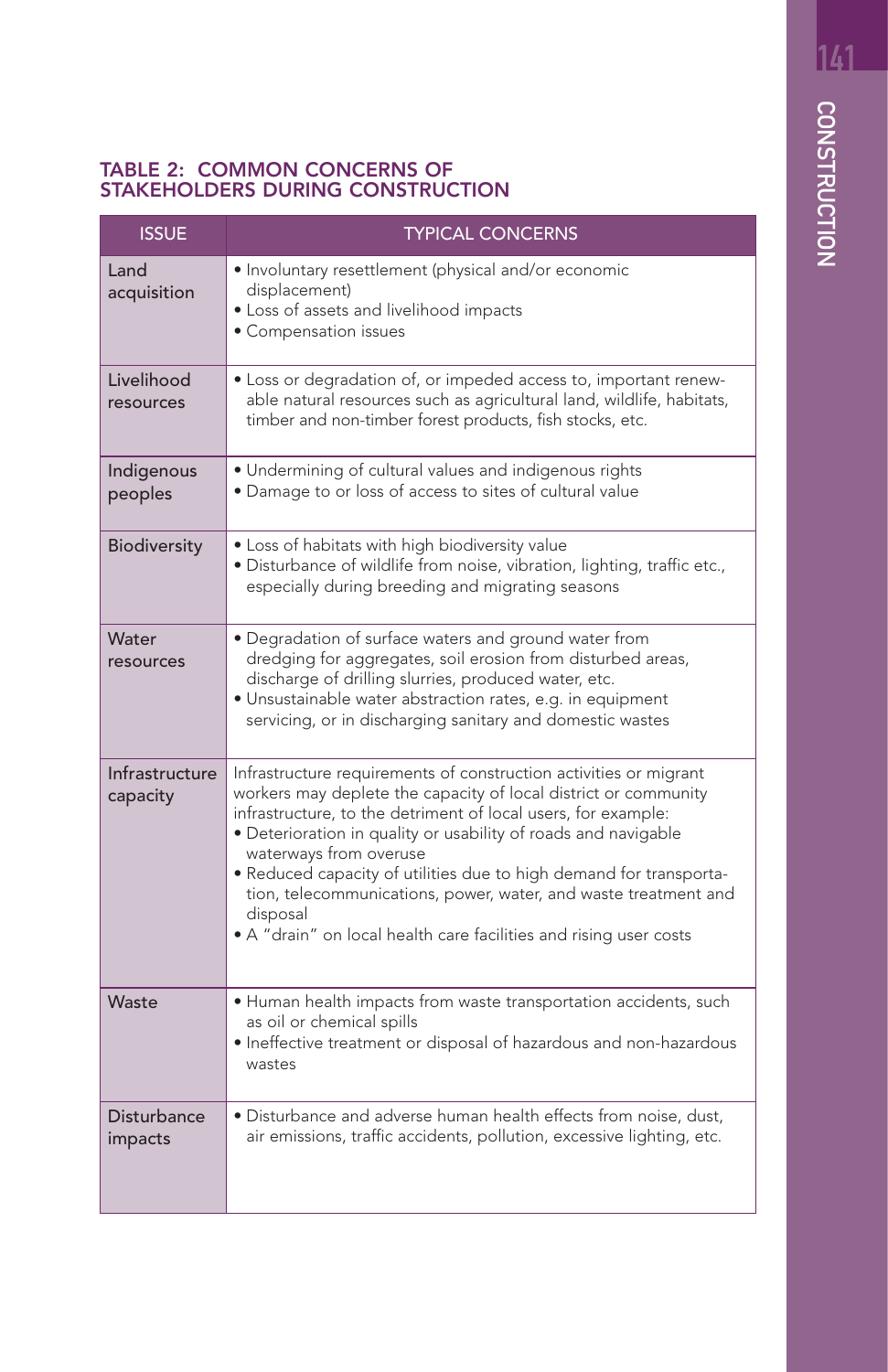#### TABLE 2: COMMON CONCERNS OF STAKEHOLDERS DURING CONSTRUCTION

| <b>ISSUE</b>               | <b>TYPICAL CONCERNS</b>                                                                                                                                                                                                                                                                                                                                                                                                                                                                                                     |
|----------------------------|-----------------------------------------------------------------------------------------------------------------------------------------------------------------------------------------------------------------------------------------------------------------------------------------------------------------------------------------------------------------------------------------------------------------------------------------------------------------------------------------------------------------------------|
| Land<br>acquisition        | · Involuntary resettlement (physical and/or economic<br>displacement)<br>• Loss of assets and livelihood impacts<br>• Compensation issues                                                                                                                                                                                                                                                                                                                                                                                   |
| Livelihood<br>resources    | · Loss or degradation of, or impeded access to, important renew-<br>able natural resources such as agricultural land, wildlife, habitats,<br>timber and non-timber forest products, fish stocks, etc.                                                                                                                                                                                                                                                                                                                       |
| Indigenous<br>peoples      | • Undermining of cultural values and indigenous rights<br>· Damage to or loss of access to sites of cultural value                                                                                                                                                                                                                                                                                                                                                                                                          |
| Biodiversity               | • Loss of habitats with high biodiversity value<br>· Disturbance of wildlife from noise, vibration, lighting, traffic etc.,<br>especially during breeding and migrating seasons                                                                                                                                                                                                                                                                                                                                             |
| Water<br>resources         | · Degradation of surface waters and ground water from<br>dredging for aggregates, soil erosion from disturbed areas,<br>discharge of drilling slurries, produced water, etc.<br>· Unsustainable water abstraction rates, e.g. in equipment<br>servicing, or in discharging sanitary and domestic wastes                                                                                                                                                                                                                     |
| Infrastructure<br>capacity | Infrastructure requirements of construction activities or migrant<br>workers may deplete the capacity of local district or community<br>infrastructure, to the detriment of local users, for example:<br>· Deterioration in quality or usability of roads and navigable<br>waterways from overuse<br>· Reduced capacity of utilities due to high demand for transporta-<br>tion, telecommunications, power, water, and waste treatment and<br>disposal<br>• A "drain" on local health care facilities and rising user costs |
| Waste                      | • Human health impacts from waste transportation accidents, such<br>as oil or chemical spills<br>· Ineffective treatment or disposal of hazardous and non-hazardous<br>wastes                                                                                                                                                                                                                                                                                                                                               |
| Disturbance<br>impacts     | · Disturbance and adverse human health effects from noise, dust,<br>air emissions, traffic accidents, pollution, excessive lighting, etc.                                                                                                                                                                                                                                                                                                                                                                                   |